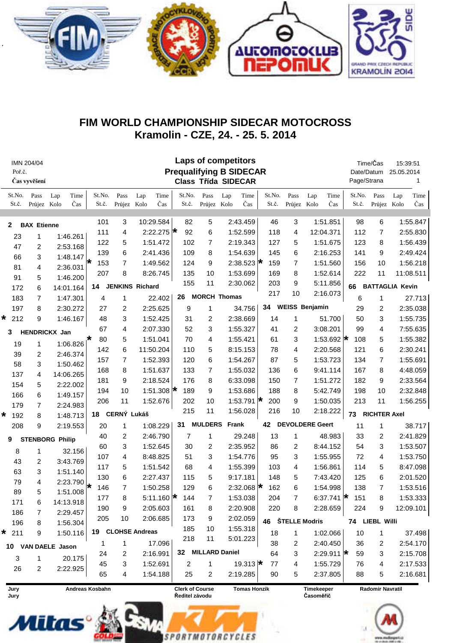

## FIM WORLD CHAMPIONSHIP SIDECAR MOTOCROSS Kramolin - CZE, 24. - 25. 5. 2014

| Poř.č.             | IMN 204/04<br>Čas vyvěšení |                         |                 |                     | <b>Laps of competitors</b><br><b>Prequalifying B SIDECAR</b><br><b>Class Třída SIDECAR</b> |                                                                 |                 |                            |                       |                  |                 |                         | Time/Čas<br>Date/Datum<br>Page/Strana |                  | 15:39:51<br>25.05.2014 | 1                       |                        |             |
|--------------------|----------------------------|-------------------------|-----------------|---------------------|--------------------------------------------------------------------------------------------|-----------------------------------------------------------------|-----------------|----------------------------|-----------------------|------------------|-----------------|-------------------------|---------------------------------------|------------------|------------------------|-------------------------|------------------------|-------------|
| St.No.<br>St.č.    | Pass<br>Průjez Kolo        | Time<br>Lap<br>Čas      | St.No.<br>St.č. | Pass<br>Průjez Kolo | Lap                                                                                        | Time<br>Čas                                                     | St.No.<br>St.č. | Pass<br>Průjez Kolo        | Lap                   | Time<br>Čas      | St.No.<br>St.č. | Pass<br>Průjez Kolo     | Lap                                   | Time<br>Čas      | St.No.<br>St.č.        | Pass<br>Průjez Kolo     | Lap                    | Time<br>Čas |
| 2                  | <b>BAX Etienne</b>         |                         | 101             | 3                   | 10:29.584                                                                                  |                                                                 | 82              | 5                          |                       | 2:43.459         | 46              | 3                       |                                       | 1:51.851         | 98                     | 6                       |                        | 1:55.847    |
| 23                 | 1                          | 1:46.261                | 111             | 4                   | 2:22.275 $\star$                                                                           |                                                                 | 92              | 6                          |                       | 1:52.599         | 118             | 4                       |                                       | 12:04.371        | 112                    | 7                       |                        | 2:55.830    |
| 47                 | 2                          | 2:53.168                | 122             | 5                   | 1:51.472                                                                                   |                                                                 | 102             | 7                          |                       | 2:19.343         | 127             | 5                       |                                       | 1:51.675         | 123                    | 8                       |                        | 1:56.439    |
| 66                 | 3                          | 1:48.147                | 139             | 6                   | 2:41.436                                                                                   |                                                                 | 109             | 8                          |                       | 1:54.639         | 145             | 6                       |                                       | 2:16.253         | 141                    | 9                       |                        | 2:49.424    |
| 81                 | 4                          | 2:36.031                | 153<br>₩        | $\overline{7}$      | 1:49.562                                                                                   |                                                                 | 124             | 9                          |                       | 2:38.523 $\star$ | 159             | $\overline{7}$          |                                       | 1:51.560         | 156                    | 10                      |                        | 1:56.218    |
| 91                 | 5                          | 1:46.200                | 207             | 8                   | 8:26.745                                                                                   |                                                                 | 135             | 10                         |                       | 1:53.699         | 169             | 8                       |                                       | 1:52.614         | 222                    | 11                      |                        | 11:08.511   |
| 172                | 6                          | 14:01.164               | 14              |                     | <b>JENKINS Richard</b>                                                                     |                                                                 | 155             | 11                         |                       | 2:30.062         | 203             | 9                       |                                       | 5:11.856         | 66                     |                         | <b>BATTAGLIA Kevin</b> |             |
| 183                | 7                          | 1:47.301                | 4               | 1                   | 22.402                                                                                     |                                                                 | 26              |                            | <b>MORCH Thomas</b>   |                  | 217             | 10                      |                                       | 2:16.073         | 6                      | 1                       |                        | 27.713      |
| 197                | 8                          | 2:30.272                | 27              | 2                   | 2:25.625                                                                                   |                                                                 | 9               | 1                          |                       | 34.756           |                 |                         | 34 WEISS Benjamin                     |                  | 29                     | 2                       |                        | 2:35.038    |
| $* 212$            | 9                          | 1:46.167                | 48              | 3                   | 1:52.425                                                                                   |                                                                 | 31              | 2                          |                       | 2:38.669         | 14              | 1                       |                                       | 51.700           | 50                     | 3                       |                        | 1:55.735    |
| 3                  |                            | HENDRICKX Jan           | 67              | 4                   | 2:07.330                                                                                   |                                                                 | 52              | 3                          |                       | 1:55.327         | 41              | 2                       |                                       | 3:08.201         | 99                     | 4                       |                        | 7:55.635    |
|                    |                            |                         | 80              | 5                   | 1:51.041                                                                                   |                                                                 | 70              | 4                          |                       | 1:55.421         | 61              | 3                       |                                       | 1:53.692 $\star$ | 108                    | 5                       |                        | 1:55.382    |
| 19                 | 1                          | $1:06.826$ <sup>*</sup> | 142             | 6                   | 11:50.204                                                                                  |                                                                 | 110             | 5                          |                       | 8:15.153         | 78              | 4                       |                                       | 2:20.568         | 121                    | 6                       |                        | 2:30.241    |
| 39                 | 2                          | 2:46.374                | 157             | $\overline{7}$      | 1:52.393                                                                                   |                                                                 | 120             | 6                          |                       | 1:54.267         | 87              | 5                       |                                       | 1:53.723         | 134                    | 7                       |                        | 1:55.691    |
| 58                 | 3                          | 1:50.462                | 168             | 8                   | 1:51.637                                                                                   |                                                                 | 133             | 7                          |                       | 1:55.032         | 136             | 6                       |                                       | 9:41.114         | 167                    | 8                       |                        | 4:48.059    |
| 137                | 4                          | 14:06.265               | 181             | 9                   | 2:18.524                                                                                   |                                                                 | 176             | 8                          |                       | 6:33.098         | 150             | $\overline{7}$          |                                       | 1:51.272         | 182                    | 9                       |                        | 2:33.564    |
| 154                | 5<br>6                     | 2:22.002                | 194             | 10                  | 1:51.308 $\star$                                                                           |                                                                 | 189             | 9                          |                       | 1:53.686         | 188             | 8                       |                                       | 5:42.749         | 198                    | 10                      |                        | 2:32.848    |
| 166                |                            | 1:49.157                | 206             | 11                  | 1:52.676                                                                                   |                                                                 | 202             | 10                         |                       | 1:53.791 $\star$ | 200             | 9                       |                                       | 1:50.035         | 213                    | 11                      |                        | 1:56.255    |
| 179<br>192         | 7<br>8                     | 2:24.983                |                 | 18 CERNÝ Lukáš      |                                                                                            |                                                                 | 215             | 11                         |                       | 1:56.028         | 216             | 10                      |                                       | 2:18.222         | 73                     | <b>RICHTER Axel</b>     |                        |             |
| *<br>9<br>208      |                            | 1:48.713<br>2:19.553    | 20              | 1                   | 1:08.229                                                                                   |                                                                 |                 | <b>MULDERS</b> Frank<br>31 |                       |                  |                 | 42 DEVOLDERE Geert      |                                       |                  |                        | 11<br>1                 |                        | 38.717      |
|                    |                            |                         | 40              | 2                   | 2:46.790                                                                                   |                                                                 | 7               | 1                          |                       | 29.248           | 13              | 1                       |                                       | 48.983           | 33                     | 2                       |                        | 2:41.829    |
| 9                  |                            | <b>STENBORG Philip</b>  | 60              | 3                   | 1:52.645                                                                                   |                                                                 | 30              | 2                          |                       | 2:35.952         | 86              | 2                       |                                       | 8:44.152         | 54                     | 3                       |                        | 1:53.507    |
| 8                  | 1                          | 32.156                  | 107             | 4                   | 8:48.825                                                                                   |                                                                 | 51              | 3                          |                       | 1:54.776         | 95              | 3                       |                                       | 1:55.955         | 72                     | 4                       |                        | 1:53.750    |
| 43                 | 2                          | 3:43.769                | 117             | 5                   | 1:51.542                                                                                   |                                                                 | 68              | 4                          |                       | 1:55.399         | 103             | 4                       |                                       | 1:56.861         | 114                    | 5                       |                        | 8:47.098    |
| 63                 | 3                          | 1:51.140                | 130             | 6                   | 2:27.437                                                                                   |                                                                 | 115             | 5                          |                       | 9:17.181         | 148             | 5                       |                                       | 7:43.420         | 125                    | 6                       |                        | 2:01.520    |
| 79                 | 4                          | 2:23.790                | 146<br>₩        | $\overline{7}$      | 1:50.258                                                                                   |                                                                 | 129             | 6                          |                       | 2:32.068 $\star$ | 162             | 6                       |                                       | 1:54.998         | 138                    | 7                       |                        | 1:53.516    |
| 89                 | 5                          | 1:51.008                | 177             | 8                   | 5:11.160 $\star$                                                                           |                                                                 | 144             | 7                          |                       | 1:53.038         | 204             |                         |                                       | 6:37.741 $\star$ | 151                    | 8                       |                        | 1:53.333    |
| 171                | 6                          | 14:13.918               | 190             | 9                   | 2:05.603                                                                                   |                                                                 | 161             | 8                          |                       | 2:20.908         | 220             | 8                       |                                       | 2:28.659         | 224                    | 9                       |                        | 12:09.101   |
| 186                | 7                          | 2:29.457                | 205             | 10                  | 2:06.685                                                                                   |                                                                 | 173             | 9                          |                       | 2:02.059         |                 |                         |                                       |                  |                        |                         |                        |             |
| 196                | 8                          | 1:56.304                |                 |                     |                                                                                            |                                                                 | 185             | 10                         |                       | 1:55.318         |                 | 46 ŠTELLE Modris        |                                       |                  | 74 LIEBL Willi         |                         |                        |             |
| $\star$ 211        | 9                          | 1:50.116                |                 |                     | 19 CLOHSE Andreas                                                                          |                                                                 | 218             | 11                         |                       | 5:01.223         | 18              | 1                       |                                       | 1:02.066         | 10                     | 1                       |                        | 37.498      |
| 10 VAN DAELE Jason |                            |                         | 1               | 1                   | 17.096                                                                                     |                                                                 |                 |                            |                       |                  | 38              | 2                       |                                       | 2:40.450         | 36                     | 2                       |                        | 2:54.170    |
| 3                  | 1                          | 20.175                  | 24              | 2                   | 2:16.991                                                                                   |                                                                 | 32              |                            | <b>MILLARD Daniel</b> |                  | 64              | 3                       |                                       | 2:29.911 $\star$ | 59                     | 3                       |                        | 2:15.708    |
| 26                 | 2                          | 2:22.925                | 45              | 3                   | 1:52.691                                                                                   |                                                                 | 2               | 1                          |                       | 19.313 $\star$   | 77              | 4                       |                                       | 1:55.729         | 76                     | 4                       |                        | 2:17.533    |
|                    |                            |                         | 65              | 4                   | 1:54.188                                                                                   |                                                                 | 25              | 2                          |                       | 2:19.285         | 90              | 5                       |                                       | 2:37.805         | 88                     | 5                       |                        | 2:16.681    |
| Jury<br>Jury       | Andreas Kosbahn            |                         |                 |                     |                                                                                            | <b>Clerk of Course</b><br><b>Tomas Honzik</b><br>Ředitel závodu |                 |                            |                       |                  |                 | Timekeeper<br>Časoměřič |                                       |                  |                        | <b>Radomir Navratil</b> |                        |             |

**SPORTMOTORCYCLES**